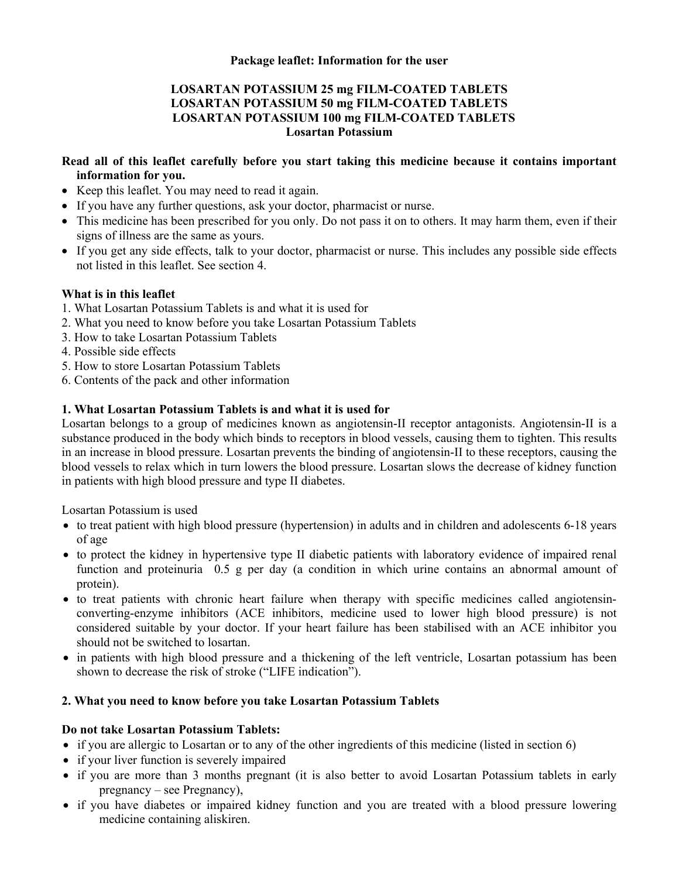## **LOSARTAN POTASSIUM 25 mg FILM-COATED TABLETS LOSARTAN POTASSIUM 50 mg FILM-COATED TABLETS LOSARTAN POTASSIUM 100 mg FILM-COATED TABLETS Losartan Potassium**

## **Read all of this leaflet carefully before you start taking this medicine because it contains important information for you.**

- Keep this leaflet. You may need to read it again.
- If you have any further questions, ask your doctor, pharmacist or nurse.
- This medicine has been prescribed for you only. Do not pass it on to others. It may harm them, even if their signs of illness are the same as yours.
- If you get any side effects, talk to your doctor, pharmacist or nurse. This includes any possible side effects not listed in this leaflet. See section 4.

## **What is in this leaflet**

- 1. What Losartan Potassium Tablets is and what it is used for
- 2. What you need to know before you take Losartan Potassium Tablets
- 3. How to take Losartan Potassium Tablets
- 4. Possible side effects
- 5. How to store Losartan Potassium Tablets
- 6. Contents of the pack and other information

## **1. What Losartan Potassium Tablets is and what it is used for**

Losartan belongs to a group of medicines known as angiotensin-II receptor antagonists. Angiotensin-II is a substance produced in the body which binds to receptors in blood vessels, causing them to tighten. This results in an increase in blood pressure. Losartan prevents the binding of angiotensin-II to these receptors, causing the blood vessels to relax which in turn lowers the blood pressure. Losartan slows the decrease of kidney function in patients with high blood pressure and type II diabetes.

Losartan Potassium is used

- to treat patient with high blood pressure (hypertension) in adults and in children and adolescents 6-18 years of age
- to protect the kidney in hypertensive type II diabetic patients with laboratory evidence of impaired renal function and proteinuria 0.5 g per day (a condition in which urine contains an abnormal amount of protein).
- to treat patients with chronic heart failure when therapy with specific medicines called angiotensinconverting-enzyme inhibitors (ACE inhibitors, medicine used to lower high blood pressure) is not considered suitable by your doctor. If your heart failure has been stabilised with an ACE inhibitor you should not be switched to losartan.
- in patients with high blood pressure and a thickening of the left ventricle, Losartan potassium has been shown to decrease the risk of stroke ("LIFE indication").

## **2. What you need to know before you take Losartan Potassium Tablets**

## **Do not take Losartan Potassium Tablets:**

- if you are allergic to Losartan or to any of the other ingredients of this medicine (listed in section 6)
- if your liver function is severely impaired
- if you are more than 3 months pregnant (it is also better to avoid Losartan Potassium tablets in early pregnancy – see Pregnancy),
- if you have diabetes or impaired kidney function and you are treated with a blood pressure lowering medicine containing aliskiren.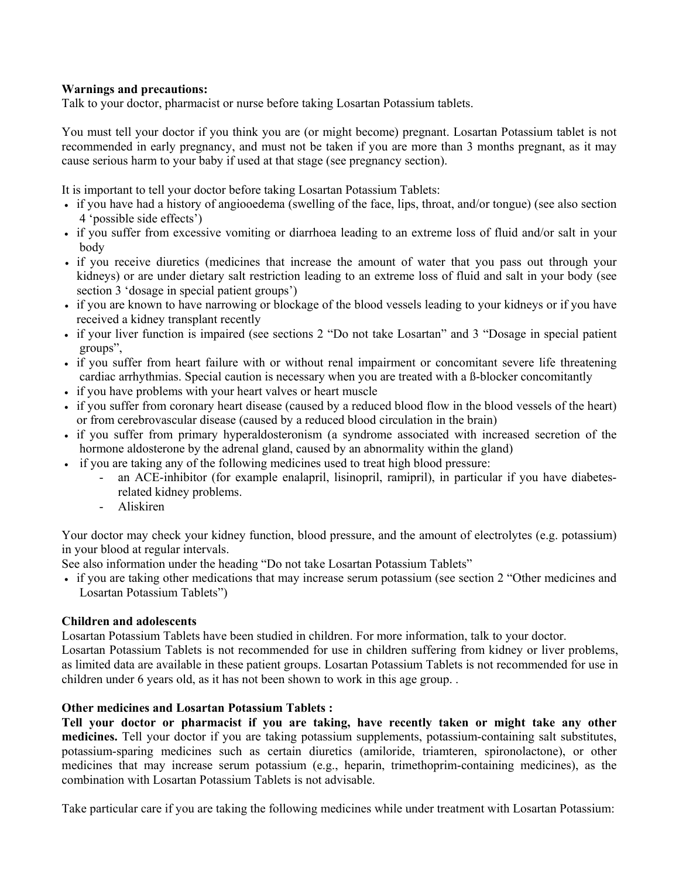#### **Warnings and precautions:**

Talk to your doctor, pharmacist or nurse before taking Losartan Potassium tablets.

You must tell your doctor if you think you are (or might become) pregnant. Losartan Potassium tablet is not recommended in early pregnancy, and must not be taken if you are more than 3 months pregnant, as it may cause serious harm to your baby if used at that stage (see pregnancy section).

It is important to tell your doctor before taking Losartan Potassium Tablets:

- if you have had a history of angiooedema (swelling of the face, lips, throat, and/or tongue) (see also section 4 'possible side effects')
- if you suffer from excessive vomiting or diarrhoea leading to an extreme loss of fluid and/or salt in your body
- if you receive diuretics (medicines that increase the amount of water that you pass out through your kidneys) or are under dietary salt restriction leading to an extreme loss of fluid and salt in your body (see section 3 'dosage in special patient groups')
- if you are known to have narrowing or blockage of the blood vessels leading to your kidneys or if you have received a kidney transplant recently
- if your liver function is impaired (see sections 2 "Do not take Losartan" and 3 "Dosage in special patient groups",
- if you suffer from heart failure with or without renal impairment or concomitant severe life threatening cardiac arrhythmias. Special caution is necessary when you are treated with a ß-blocker concomitantly
- if you have problems with your heart valves or heart muscle
- if you suffer from coronary heart disease (caused by a reduced blood flow in the blood vessels of the heart) or from cerebrovascular disease (caused by a reduced blood circulation in the brain)
- if you suffer from primary hyperaldosteronism (a syndrome associated with increased secretion of the hormone aldosterone by the adrenal gland, caused by an abnormality within the gland)
- if you are taking any of the following medicines used to treat high blood pressure:
	- an ACE-inhibitor (for example enalapril, lisinopril, ramipril), in particular if you have diabetesrelated kidney problems.
	- Aliskiren

Your doctor may check your kidney function, blood pressure, and the amount of electrolytes (e.g. potassium) in your blood at regular intervals.

See also information under the heading "Do not take Losartan Potassium Tablets"

 if you are taking other medications that may increase serum potassium (see section 2 "Other medicines and Losartan Potassium Tablets")

## **Children and adolescents**

Losartan Potassium Tablets have been studied in children. For more information, talk to your doctor.

Losartan Potassium Tablets is not recommended for use in children suffering from kidney or liver problems, as limited data are available in these patient groups. Losartan Potassium Tablets is not recommended for use in children under 6 years old, as it has not been shown to work in this age group. .

## **Other medicines and Losartan Potassium Tablets :**

**Tell your doctor or pharmacist if you are taking, have recently taken or might take any other medicines.** Tell your doctor if you are taking potassium supplements, potassium-containing salt substitutes, potassium-sparing medicines such as certain diuretics (amiloride, triamteren, spironolactone), or other medicines that may increase serum potassium (e.g., heparin, trimethoprim-containing medicines), as the combination with Losartan Potassium Tablets is not advisable.

Take particular care if you are taking the following medicines while under treatment with Losartan Potassium: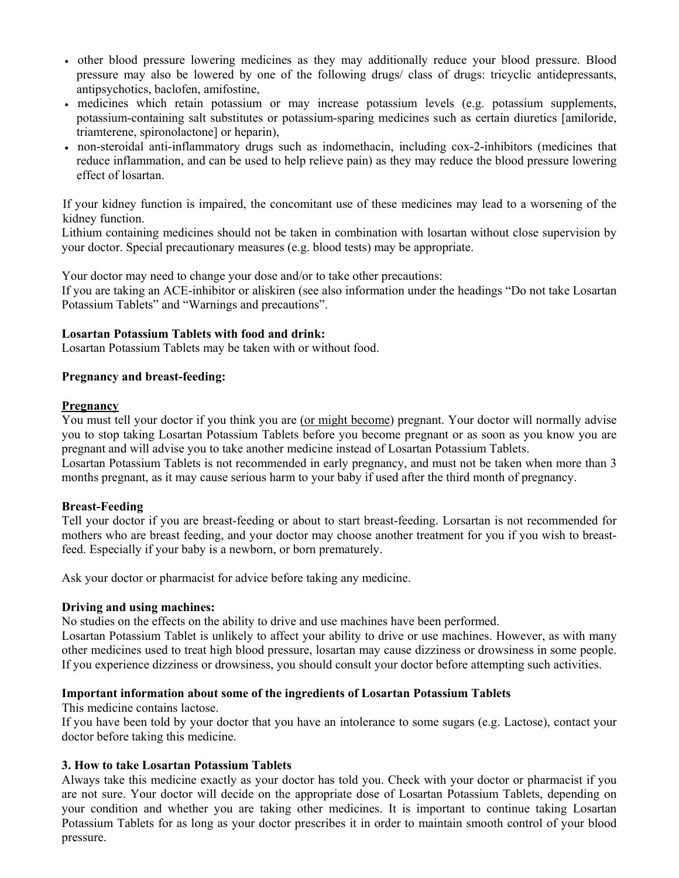- other blood pressure lowering medicines as they may additionally reduce your blood pressure. Blood pressure may also be lowered by one of the following drugs/ class of drugs: tricyclic antidepressants, antipsychotics, baclofen, amifostine,
- medicines which retain potassium or may increase potassium levels (e.g. potassium supplements, potassium-containing salt substitutes or potassium-sparing medicines such as certain diuretics [amiloride, triamterene, spironolactone] or heparin),
- non-steroidal anti-inflammatory drugs such as indomethacin, including cox-2-inhibitors (medicines that reduce inflammation, and can be used to help relieve pain) as they may reduce the blood pressure lowering effect of losartan.

If your kidney function is impaired, the concomitant use of these medicines may lead to a worsening of the kidney function.

Lithium containing medicines should not be taken in combination with losartan without close supervision by your doctor. Special precautionary measures (e.g. blood tests) may be appropriate.

Your doctor may need to change your dose and/or to take other precautions:

If you are taking an ACE-inhibitor or aliskiren (see also information under the headings "Do not take Losartan Potassium Tablets" and "Warnings and precautions".

#### **Losartan Potassium Tablets with food and drink:**

Losartan Potassium Tablets may be taken with or without food.

#### **Pregnancy and breast-feeding:**

#### **Pregnancy**

You must tell your doctor if you think you are (or might become) pregnant. Your doctor will normally advise you to stop taking Losartan Potassium Tablets before you become pregnant or as soon as you know you are pregnant and will advise you to take another medicine instead of Losartan Potassium Tablets.

Losartan Potassium Tablets is not recommended in early pregnancy, and must not be taken when more than 3 months pregnant, as it may cause serious harm to your baby if used after the third month of pregnancy.

## **Breast-Feeding**

Tell your doctor if you are breast-feeding or about to start breast-feeding. Lorsartan is not recommended for mothers who are breast feeding, and your doctor may choose another treatment for you if you wish to breastfeed. Especially if your baby is a newborn, or born prematurely.

Ask your doctor or pharmacist for advice before taking any medicine.

#### **Driving and using machines:**

No studies on the effects on the ability to drive and use machines have been performed.

Losartan Potassium Tablet is unlikely to affect your ability to drive or use machines. However, as with many other medicines used to treat high blood pressure, losartan may cause dizziness or drowsiness in some people. If you experience dizziness or drowsiness, you should consult your doctor before attempting such activities.

#### **Important information about some of the ingredients of Losartan Potassium Tablets**

This medicine contains lactose.

If you have been told by your doctor that you have an intolerance to some sugars (e.g. Lactose), contact your doctor before taking this medicine.

#### **3. How to take Losartan Potassium Tablets**

Always take this medicine exactly as your doctor has told you. Check with your doctor or pharmacist if you are not sure. Your doctor will decide on the appropriate dose of Losartan Potassium Tablets, depending on your condition and whether you are taking other medicines. It is important to continue taking Losartan Potassium Tablets for as long as your doctor prescribes it in order to maintain smooth control of your blood pressure.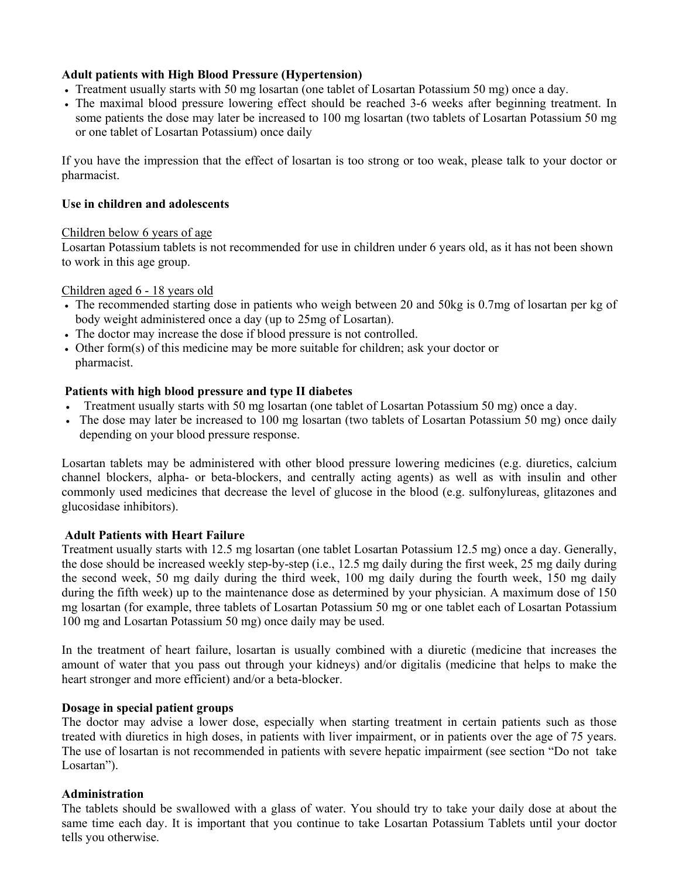### **Adult patients with High Blood Pressure (Hypertension)**

- Treatment usually starts with 50 mg losartan (one tablet of Losartan Potassium 50 mg) once a day.
- The maximal blood pressure lowering effect should be reached 3-6 weeks after beginning treatment. In some patients the dose may later be increased to 100 mg losartan (two tablets of Losartan Potassium 50 mg or one tablet of Losartan Potassium) once daily

If you have the impression that the effect of losartan is too strong or too weak, please talk to your doctor or pharmacist.

#### **Use in children and adolescents**

#### Children below 6 years of age

Losartan Potassium tablets is not recommended for use in children under 6 years old, as it has not been shown to work in this age group.

#### Children aged 6 - 18 years old

- The recommended starting dose in patients who weigh between 20 and 50kg is 0.7mg of losartan per kg of body weight administered once a day (up to 25mg of Losartan).
- The doctor may increase the dose if blood pressure is not controlled.
- Other form(s) of this medicine may be more suitable for children; ask your doctor or pharmacist.

#### **Patients with high blood pressure and type II diabetes**

- Treatment usually starts with 50 mg losartan (one tablet of Losartan Potassium 50 mg) once a day.
- The dose may later be increased to 100 mg losartan (two tablets of Losartan Potassium 50 mg) once daily depending on your blood pressure response.

Losartan tablets may be administered with other blood pressure lowering medicines (e.g. diuretics, calcium channel blockers, alpha- or beta-blockers, and centrally acting agents) as well as with insulin and other commonly used medicines that decrease the level of glucose in the blood (e.g. sulfonylureas, glitazones and glucosidase inhibitors).

#### **Adult Patients with Heart Failure**

Treatment usually starts with 12.5 mg losartan (one tablet Losartan Potassium 12.5 mg) once a day. Generally, the dose should be increased weekly step-by-step (i.e., 12.5 mg daily during the first week, 25 mg daily during the second week, 50 mg daily during the third week, 100 mg daily during the fourth week, 150 mg daily during the fifth week) up to the maintenance dose as determined by your physician. A maximum dose of 150 mg losartan (for example, three tablets of Losartan Potassium 50 mg or one tablet each of Losartan Potassium 100 mg and Losartan Potassium 50 mg) once daily may be used.

In the treatment of heart failure, losartan is usually combined with a diuretic (medicine that increases the amount of water that you pass out through your kidneys) and/or digitalis (medicine that helps to make the heart stronger and more efficient) and/or a beta-blocker.

#### **Dosage in special patient groups**

The doctor may advise a lower dose, especially when starting treatment in certain patients such as those treated with diuretics in high doses, in patients with liver impairment, or in patients over the age of 75 years. The use of losartan is not recommended in patients with severe hepatic impairment (see section "Do not take Losartan").

#### **Administration**

The tablets should be swallowed with a glass of water. You should try to take your daily dose at about the same time each day. It is important that you continue to take Losartan Potassium Tablets until your doctor tells you otherwise.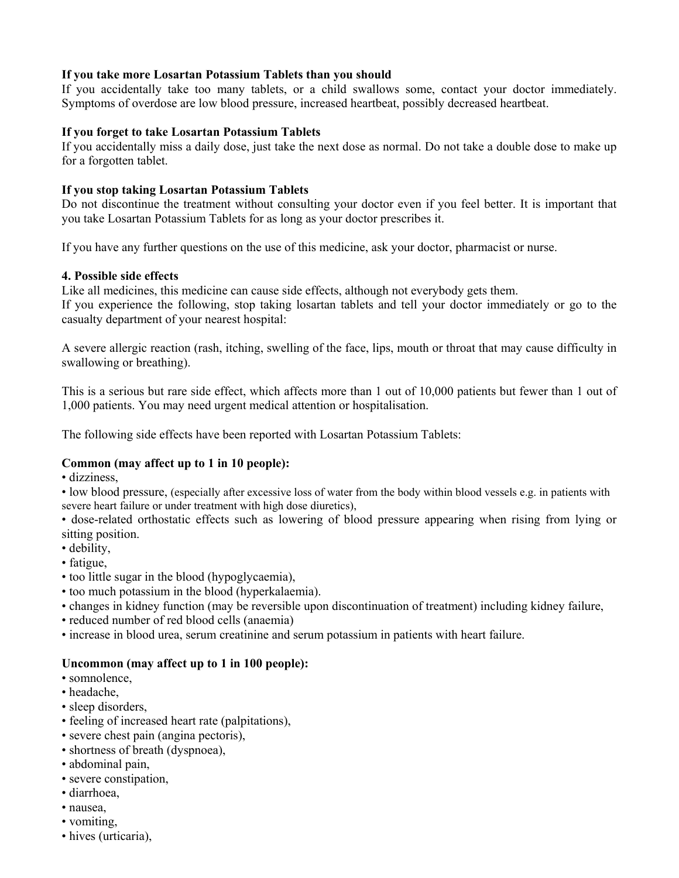### **If you take more Losartan Potassium Tablets than you should**

If you accidentally take too many tablets, or a child swallows some, contact your doctor immediately. Symptoms of overdose are low blood pressure, increased heartbeat, possibly decreased heartbeat.

#### **If you forget to take Losartan Potassium Tablets**

If you accidentally miss a daily dose, just take the next dose as normal. Do not take a double dose to make up for a forgotten tablet.

### **If you stop taking Losartan Potassium Tablets**

Do not discontinue the treatment without consulting your doctor even if you feel better. It is important that you take Losartan Potassium Tablets for as long as your doctor prescribes it.

If you have any further questions on the use of this medicine, ask your doctor, pharmacist or nurse.

#### **4. Possible side effects**

Like all medicines, this medicine can cause side effects, although not everybody gets them. If you experience the following, stop taking losartan tablets and tell your doctor immediately or go to the casualty department of your nearest hospital:

A severe allergic reaction (rash, itching, swelling of the face, lips, mouth or throat that may cause difficulty in swallowing or breathing).

This is a serious but rare side effect, which affects more than 1 out of 10,000 patients but fewer than 1 out of 1,000 patients. You may need urgent medical attention or hospitalisation.

The following side effects have been reported with Losartan Potassium Tablets:

## **Common (may affect up to 1 in 10 people):**

• dizziness,

• low blood pressure, (especially after excessive loss of water from the body within blood vessels e.g. in patients with severe heart failure or under treatment with high dose diuretics),

• dose-related orthostatic effects such as lowering of blood pressure appearing when rising from lying or sitting position.

- debility,
- fatigue,
- too little sugar in the blood (hypoglycaemia),
- too much potassium in the blood (hyperkalaemia).
- changes in kidney function (may be reversible upon discontinuation of treatment) including kidney failure,
- reduced number of red blood cells (anaemia)
- increase in blood urea, serum creatinine and serum potassium in patients with heart failure.

#### **Uncommon (may affect up to 1 in 100 people):**

- somnolence,
- headache,
- sleep disorders,
- feeling of increased heart rate (palpitations),
- severe chest pain (angina pectoris),
- shortness of breath (dyspnoea),
- abdominal pain,
- severe constipation,
- diarrhoea,
- nausea,
- vomiting,
- hives (urticaria),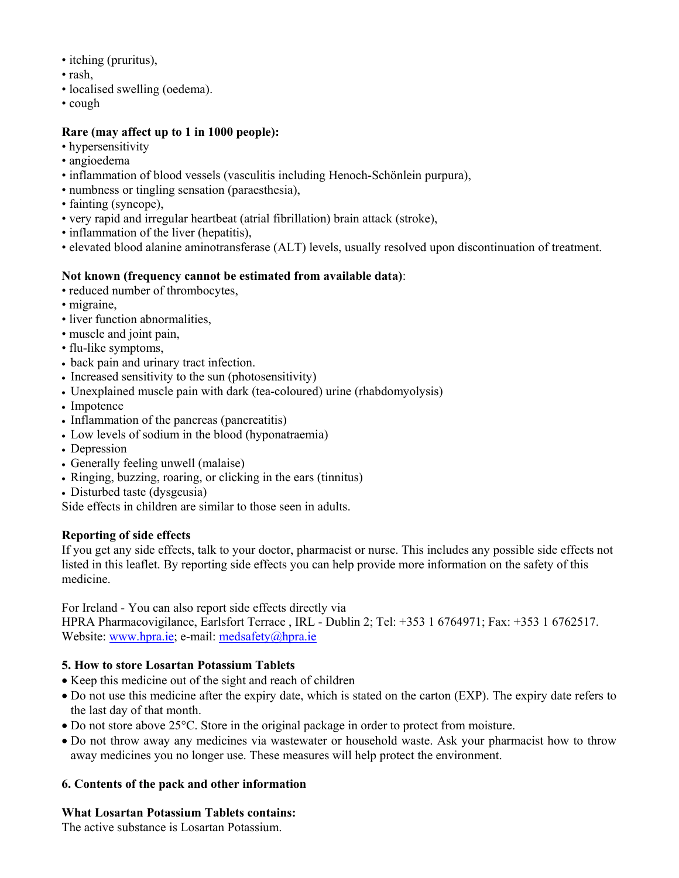- itching (pruritus),
- rash,
- localised swelling (oedema).
- cough

## **Rare (may affect up to 1 in 1000 people):**

- hypersensitivity
- angioedema
- inflammation of blood vessels (vasculitis including Henoch-Schönlein purpura),
- numbness or tingling sensation (paraesthesia),
- fainting (syncope),
- very rapid and irregular heartbeat (atrial fibrillation) brain attack (stroke),
- inflammation of the liver (hepatitis),
- elevated blood alanine aminotransferase (ALT) levels, usually resolved upon discontinuation of treatment.

## **Not known (frequency cannot be estimated from available data)**:

- reduced number of thrombocytes,
- migraine,
- liver function abnormalities,
- muscle and joint pain,
- flu-like symptoms,
- back pain and urinary tract infection.
- Increased sensitivity to the sun (photosensitivity)
- Unexplained muscle pain with dark (tea-coloured) urine (rhabdomyolysis)
- Impotence
- Inflammation of the pancreas (pancreatitis)
- Low levels of sodium in the blood (hyponatraemia)
- Depression
- Generally feeling unwell (malaise)
- Ringing, buzzing, roaring, or clicking in the ears (tinnitus)
- Disturbed taste (dysgeusia)

Side effects in children are similar to those seen in adults.

## **Reporting of side effects**

If you get any side effects, talk to your doctor, pharmacist or nurse. This includes any possible side effects not listed in this leaflet. By reporting side effects you can help provide more information on the safety of this medicine.

For Ireland - You can also report side effects directly via

HPRA Pharmacovigilance, Earlsfort Terrace , IRL - Dublin 2; Tel: +353 1 6764971; Fax: +353 1 6762517. Website: www.hpra.ie; e-mail: medsafety@hpra.ie

# **5. How to store Losartan Potassium Tablets**

- Keep this medicine out of the sight and reach of children
- Do not use this medicine after the expiry date, which is stated on the carton (EXP). The expiry date refers to the last day of that month.
- Do not store above 25°C. Store in the original package in order to protect from moisture.
- Do not throw away any medicines via wastewater or household waste. Ask your pharmacist how to throw away medicines you no longer use. These measures will help protect the environment.

# **6. Contents of the pack and other information**

# **What Losartan Potassium Tablets contains:**

The active substance is Losartan Potassium.